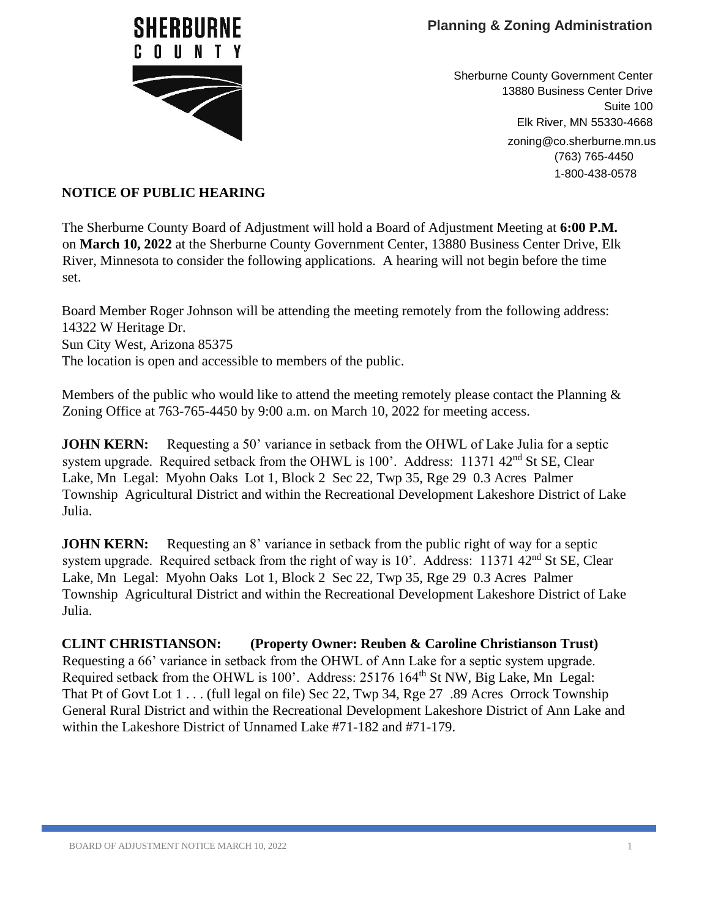

Sherburne County Government Center 13880 Business Center Drive Suite 100 Elk River, MN 55330-4668 zoning@co.sherburne.mn.us (763) 765-4450 1-800-438-0578

## **NOTICE OF PUBLIC HEARING**

The Sherburne County Board of Adjustment will hold a Board of Adjustment Meeting at **6:00 P.M.** on **March 10, 2022** at the Sherburne County Government Center, 13880 Business Center Drive, Elk River, Minnesota to consider the following applications. A hearing will not begin before the time set.

Board Member Roger Johnson will be attending the meeting remotely from the following address: 14322 W Heritage Dr. Sun City West, Arizona 85375 The location is open and accessible to members of the public.

Members of the public who would like to attend the meeting remotely please contact the Planning  $\&$ Zoning Office at 763-765-4450 by 9:00 a.m. on March 10, 2022 for meeting access.

**JOHN KERN:** Requesting a 50' variance in setback from the OHWL of Lake Julia for a septic system upgrade. Required setback from the OHWL is 100'. Address: 11371 42<sup>nd</sup> St SE, Clear Lake, Mn Legal: Myohn Oaks Lot 1, Block 2 Sec 22, Twp 35, Rge 29 0.3 Acres Palmer Township Agricultural District and within the Recreational Development Lakeshore District of Lake Julia.

**JOHN KERN:** Requesting an 8' variance in setback from the public right of way for a septic system upgrade. Required setback from the right of way is 10'. Address: 11371 42<sup>nd</sup> St SE, Clear Lake, Mn Legal: Myohn Oaks Lot 1, Block 2 Sec 22, Twp 35, Rge 29 0.3 Acres Palmer Township Agricultural District and within the Recreational Development Lakeshore District of Lake Julia.

**CLINT CHRISTIANSON: (Property Owner: Reuben & Caroline Christianson Trust)**  Requesting a 66' variance in setback from the OHWL of Ann Lake for a septic system upgrade. Required setback from the OHWL is 100'. Address: 25176 164<sup>th</sup> St NW, Big Lake, Mn Legal: That Pt of Govt Lot 1 . . . (full legal on file) Sec 22, Twp 34, Rge 27 .89 Acres Orrock Township General Rural District and within the Recreational Development Lakeshore District of Ann Lake and within the Lakeshore District of Unnamed Lake #71-182 and #71-179.